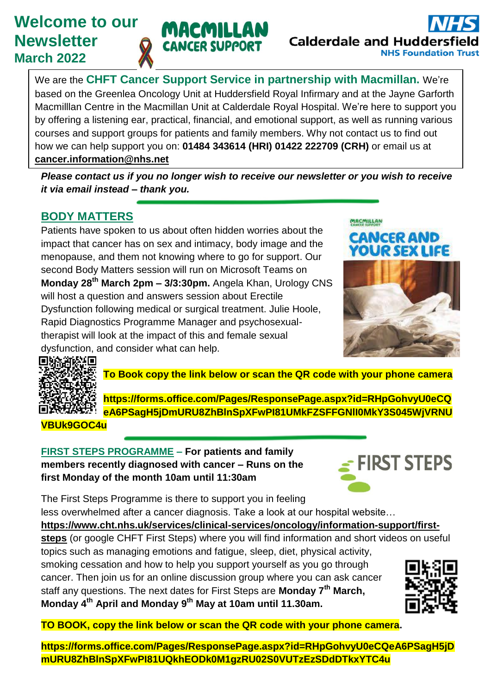# **Welcome to our Newsletter March 2022**



We are the **CHFT Cancer Support Service in partnership with Macmillan.** We're based on the Greenlea Oncology Unit at Huddersfield Royal Infirmary and at the Jayne Garforth Macmilllan Centre in the Macmillan Unit at Calderdale Royal Hospital. We're here to support you by offering a listening ear, practical, financial, and emotional support, as well as running various courses and support groups for patients and family members. Why not contact us to find out how we can help support you on: **01484 343614 (HRI) 01422 222709 (CRH)** or email us at **[cancer.information@nhs.net](mailto:cancer.information@nhs.net)**

*Please contact us if you no longer wish to receive our newsletter or you wish to receive it via email instead – thank you.* 

# **BODY MATTERS**

Patients have spoken to us about often hidden worries about the impact that cancer has on sex and intimacy, body image and the menopause, and them not knowing where to go for support. Our second Body Matters session will run on Microsoft Teams on **Monday 28th March 2pm – 3/3:30pm.** Angela Khan, Urology CNS will host a question and answers session about Erectile Dysfunction following medical or surgical treatment. Julie Hoole, Rapid Diagnostics Programme Manager and psychosexualtherapist will look at the impact of this and female sexual dysfunction, and consider what can help.





**To Book copy the link below or scan the QR code with your phone camera**

**[https://forms.office.com/Pages/ResponsePage.aspx?id=RHpGohvyU0eCQ](https://forms.office.com/Pages/ResponsePage.aspx?id=RHpGohvyU0eCQeA6PSagH5jDmURU8ZhBlnSpXFwPI81UMkFZSFFGNlI0MkY3S045WjVRNUVBUk9GOC4u) [eA6PSagH5jDmURU8ZhBlnSpXFwPI81UMkFZSFFGNlI0MkY3S045WjVRNU](https://forms.office.com/Pages/ResponsePage.aspx?id=RHpGohvyU0eCQeA6PSagH5jDmURU8ZhBlnSpXFwPI81UMkFZSFFGNlI0MkY3S045WjVRNUVBUk9GOC4u)**

#### **[VBUk9GOC4u](https://forms.office.com/Pages/ResponsePage.aspx?id=RHpGohvyU0eCQeA6PSagH5jDmURU8ZhBlnSpXFwPI81UMkFZSFFGNlI0MkY3S045WjVRNUVBUk9GOC4u)**

**FIRST STEPS PROGRAMME – For patients and family members recently diagnosed with cancer – Runs on the first Monday of the month 10am until 11:30am**



The First Steps Programme is there to support you in feeling less overwhelmed after a cancer diagnosis. Take a look at our hospital website…

#### **[https://www.cht.nhs.uk/services/clinical-services/oncology/information-support/first-](https://www.cht.nhs.uk/services/clinical-services/oncology/information-support/first-steps)**

**[steps](https://www.cht.nhs.uk/services/clinical-services/oncology/information-support/first-steps)** (or google CHFT First Steps) where you will find information and short videos on useful

topics such as managing emotions and fatigue, sleep, diet, physical activity, smoking cessation and how to help you support yourself as you go through cancer. Then join us for an online discussion group where you can ask cancer staff any questions. The next dates for First Steps are **Monday 7th March, Monday 4th April and Monday 9 th May at 10am until 11.30am.**



**TO BOOK, copy the link below or scan the QR code with your phone camera.**

**https://forms.office.com/Pages/ResponsePage.aspx?id=RHpGohvyU0eCQeA6PSagH5jD mURU8ZhBlnSpXFwPI81UQkhEODk0M1gzRU02S0VUTzEzSDdDTkxYTC4u**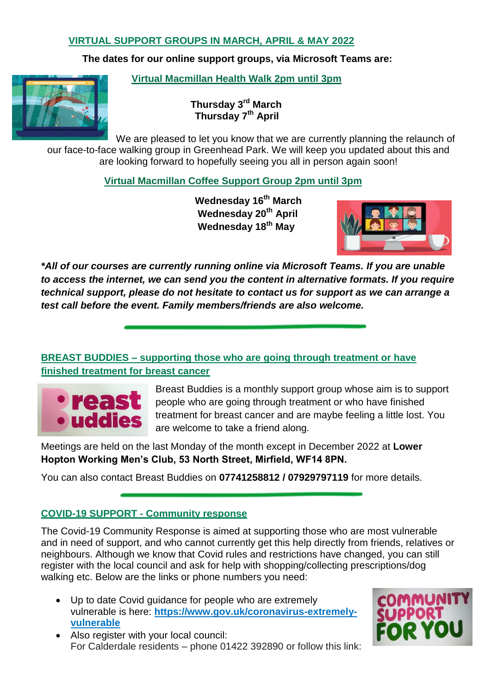#### **VIRTUAL SUPPORT GROUPS IN MARCH, APRIL & MAY 2022**

**The dates for our online support groups, via Microsoft Teams are:**

 **Virtual Macmillan Health Walk 2pm until 3pm**

 **Thursday 3rd March Thursday 7th April** 

We are pleased to let you know that we are currently planning the relaunch of our face-to-face walking group in Greenhead Park. We will keep you updated about this and are looking forward to hopefully seeing you all in person again soon!

 **Virtual Macmillan Coffee Support Group 2pm until 3pm**

 **Wednesday 16th March Wednesday 20th April Wednesday 18th May** 



*\*All of our courses are currently running online via Microsoft Teams. If you are unable to access the internet, we can send you the content in alternative formats. If you require technical support, please do not hesitate to contact us for support as we can arrange a test call before the event. Family members/friends are also welcome.*

# **BREAST BUDDIES – supporting those who are going through treatment or have finished treatment for breast cancer**



Breast Buddies is a monthly support group whose aim is to support people who are going through treatment or who have finished treatment for breast cancer and are maybe feeling a little lost. You are welcome to take a friend along.

Meetings are held on the last Monday of the month except in December 2022 at **Lower Hopton Working Men's Club, 53 North Street, Mirfield, WF14 8PN.** 

You can also contact Breast Buddies on **07741258812 / 07929797119** for more details.

#### **COVID-19 SUPPORT - Community response**

The Covid-19 Community Response is aimed at supporting those who are most vulnerable and in need of support, and who cannot currently get this help directly from friends, relatives or neighbours. Although we know that Covid rules and restrictions have changed, you can still register with the local council and ask for help with shopping/collecting prescriptions/dog walking etc. Below are the links or phone numbers you need:

 Up to date Covid guidance for people who are extremely vulnerable is here: **[https://www.gov.uk/coronavirus-extremely](https://www.gov.uk/coronavirus-extremely-vulnerable)[vulnerable](https://www.gov.uk/coronavirus-extremely-vulnerable)**



 Also register with your local council: For Calderdale residents – phone 01422 392890 or follow this link: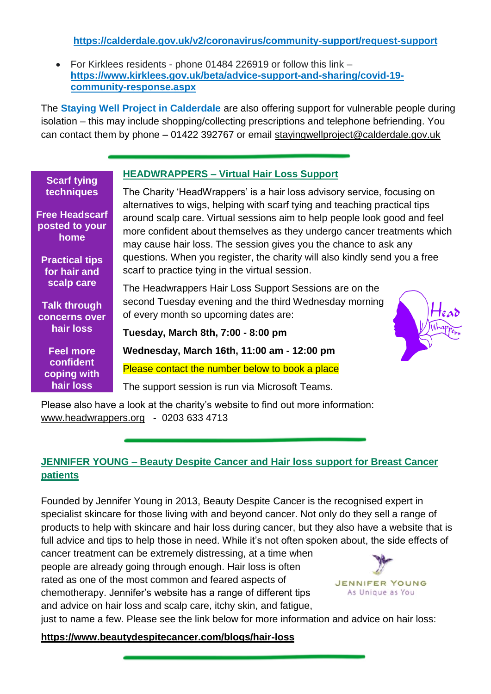**[https://calderdale.gov.uk/v2/coronavirus/community-support/request-support](https://calderdale.gov.uk/v2/coronavirus/community-support/request-support?fbclid=IwAR0BnAf2Ad2dUApd2fN3uObdpUVOQLaUfZH_S8CkfgQxc_ljg6s6Y3Q1vZk)**

 For Kirklees residents - phone 01484 226919 or follow this link – **https://www.kirklees.gov.uk/beta/advice-support-and-sharing/covid-19 community-response.aspx**

The **Staying Well Project in Calderdale** are also offering support for vulnerable people during isolation – this may include shopping/collecting prescriptions and telephone befriending. You can contact them by phone – 01422 392767 or email [stayingwellproject@calderdale.gov.uk](mailto:stayingwellproject@calderdale.gov.uk)

|                                                                                | <b>HEADWRAPPERS - Virtual Hair Loss Support</b>                                                                                                                                                                                                                                                        |
|--------------------------------------------------------------------------------|--------------------------------------------------------------------------------------------------------------------------------------------------------------------------------------------------------------------------------------------------------------------------------------------------------|
| <b>Scarf tying</b><br>techniques                                               | The Charity 'HeadWrappers' is a hair loss advisory service, focusing on                                                                                                                                                                                                                                |
| <b>Free Headscarf</b><br>posted to your<br>home                                | alternatives to wigs, helping with scarf tying and teaching practical tips<br>around scalp care. Virtual sessions aim to help people look good and feel<br>more confident about themselves as they undergo cancer treatments which<br>may cause hair loss. The session gives you the chance to ask any |
| <b>Practical tips</b><br>for hair and                                          | questions. When you register, the charity will also kindly send you a free<br>scarf to practice tying in the virtual session.                                                                                                                                                                          |
| scalp care<br><b>Talk through</b><br><b>concerns over</b>                      | The Headwrappers Hair Loss Support Sessions are on the<br>second Tuesday evening and the third Wednesday morning<br>of every month so upcoming dates are:                                                                                                                                              |
| hair loss                                                                      | Tuesday, March 8th, 7:00 - 8:00 pm                                                                                                                                                                                                                                                                     |
| <b>Feel more</b>                                                               | Wednesday, March 16th, 11:00 am - 12:00 pm                                                                                                                                                                                                                                                             |
| confident<br>coping with                                                       | Please contact the number below to book a place                                                                                                                                                                                                                                                        |
| hair loss                                                                      | The support session is run via Microsoft Teams.                                                                                                                                                                                                                                                        |
| Please also have a look at the charity's website to find out more information: |                                                                                                                                                                                                                                                                                                        |

[www.headwrappers.org](http://www.headwrappers.org/) - 0203 633 4713

# **JENNIFER YOUNG – Beauty Despite Cancer and Hair loss support for Breast Cancer patients**

Founded by Jennifer Young in 2013, Beauty Despite Cancer is the recognised expert in specialist skincare for those living with and beyond cancer. Not only do they sell a range of products to help with skincare and hair loss during cancer, but they also have a website that is full advice and tips to help those in need. While it's not often spoken about, the side effects of

cancer treatment can be extremely distressing, at a time when people are already going through enough. Hair loss is often rated as one of the most common and feared aspects of chemotherapy. Jennifer's website has a range of different tips and advice on hair loss and scalp care, itchy skin, and fatigue,



just to name a few. Please see the link below for more information and advice on hair loss:

**https://www.beautydespitecancer.com/blogs/hair-loss**